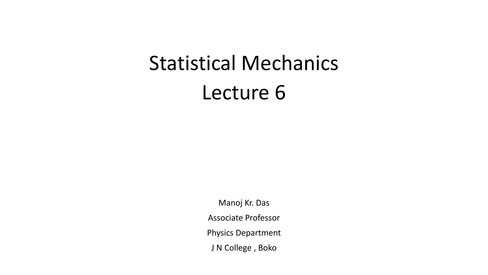## Statistical Mechanics Lecture 6

Manoj Kr. Das Associate Professor Physics Department J N College , Boko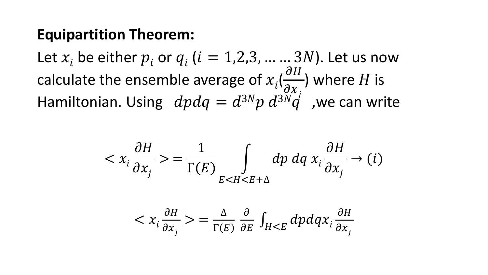## **Equipartition Theorem:**

Let  $x_i$  be either  $p_i$  or  $q_i$  ( $i = 1,2,3,...,3N$ ). Let us now calculate the ensemble average of  $x_i$ (  $\partial H$  $\frac{\partial x}{\partial x}$ ) where  $H$  is Hamiltonian. Using  $dpdq = d^{3N}p d^{3N}q'$ , we can write

$$
\langle x_i \frac{\partial H}{\partial x_j} \rangle = \frac{1}{\Gamma(E)} \int_{E < H < E + \Delta} dp \, dq \, x_i \frac{\partial H}{\partial x_j} \to (i)
$$
\n
$$
\langle x_i \frac{\partial H}{\partial x_j} \rangle = \frac{\Delta}{\Gamma(E)} \frac{\partial}{\partial E} \int_{H < E} dp \, dq \, x_i \frac{\partial H}{\partial x_j}
$$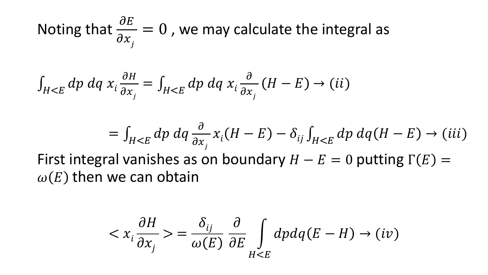Noting that  $\frac{\partial E}{\partial x}$  $\partial x_{j}^{\phantom{\dag}}$  $= 0$  , we may calculate the integral as

$$
\int_{H
$$

$$
= \int_{H  
First integral vanishes as on boundary  $H - E = 0$  putting  $\Gamma(E) = \omega(E)$  then we can obtain
$$

$$
\langle x_i \frac{\partial H}{\partial x_j} \rangle = \frac{\delta_{ij}}{\omega(E)} \frac{\partial}{\partial E} \int_{H \le E} dp dq (E - H) \to (iv)
$$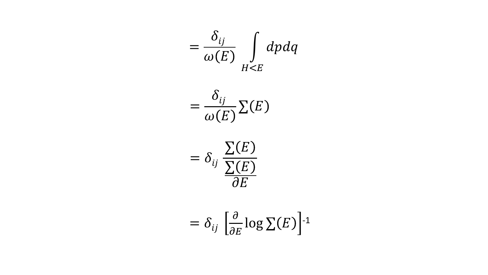$$
= \frac{\delta_{ij}}{\omega(E)} \int\limits_{H \le E} dp dq
$$



$$
= \delta_{ij} \frac{\Sigma(E)}{\Sigma(E)}{ \partial E}
$$

$$
= \delta_{ij} \left[ \frac{\partial}{\partial E} \log \Sigma(E) \right]^{-1}
$$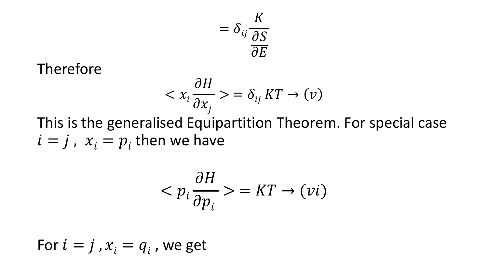$$
= \delta_{ij} \frac{K}{\frac{\partial S}{\partial E}}
$$

Therefore

$$
\langle x_i \frac{\partial H}{\partial x_j} \rangle = \delta_{ij} \, KT \to (v)
$$

This is the generalised Equipartition Theorem. For special case  $i = j$ ,  $x_i = p_i$  then we have

$$
\langle p_i \frac{\partial H}{\partial p_i} \rangle = KT \to (vi)
$$

For  $i=j$  ,  $x_i = q_i$  , we get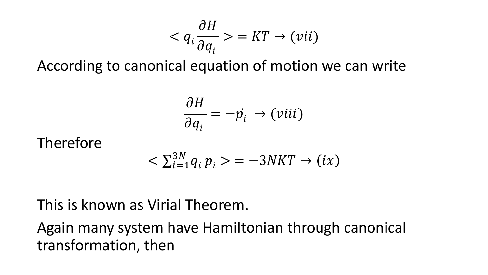$$
\langle q_i \frac{\partial H}{\partial q_i} \rangle = KT \rightarrow (vii)
$$

According to canonical equation of motion we can write

$$
\frac{\partial H}{\partial q_i} = -\dot{p_i} \rightarrow (viii)
$$

## Therefore

$$
\langle \sum_{i=1}^{3N} q_i p_i \rangle = -3NKT \rightarrow (ix)
$$

## This is known as Virial Theorem.

Again many system have Hamiltonian through canonical transformation, then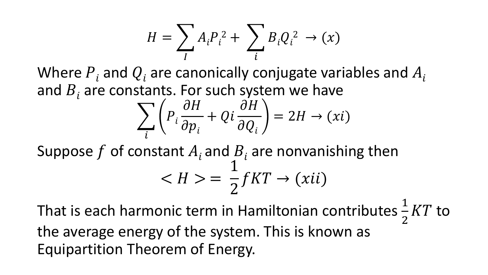$$
H = \sum_{I} A_i P_i^2 + \sum_{i} B_i Q_i^2 \rightarrow (x)
$$

Where  $P_i$  and  $Q_i$  are canonically conjugate variables and  $A_i$ and  $B_i$  are constants. For such system we have

$$
\sum_{i} \left( P_{i} \frac{\partial H}{\partial p_{i}} + Qi \frac{\partial H}{\partial Q_{i}} \right) = 2H \rightarrow (xi)
$$

Suppose f of constant  $A_i$  and  $B_i$  are nonvanishing then  $< H >$ 1 2  $fKT \rightarrow (xii)$ 

That is each harmonic term in Hamiltonian contributes  $\frac{1}{2}$ 2  $KT$  to the average energy of the system. This is known as Equipartition Theorem of Energy.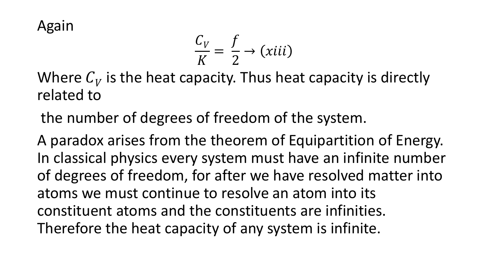Again

$$
\frac{C_V}{K} = \frac{f}{2} \rightarrow (xiii)
$$

Where  $C_V$  is the heat capacity. Thus heat capacity is directly related to

the number of degrees of freedom of the system.

A paradox arises from the theorem of Equipartition of Energy. In classical physics every system must have an infinite number of degrees of freedom, for after we have resolved matter into atoms we must continue to resolve an atom into its constituent atoms and the constituents are infinities. Therefore the heat capacity of any system is infinite.